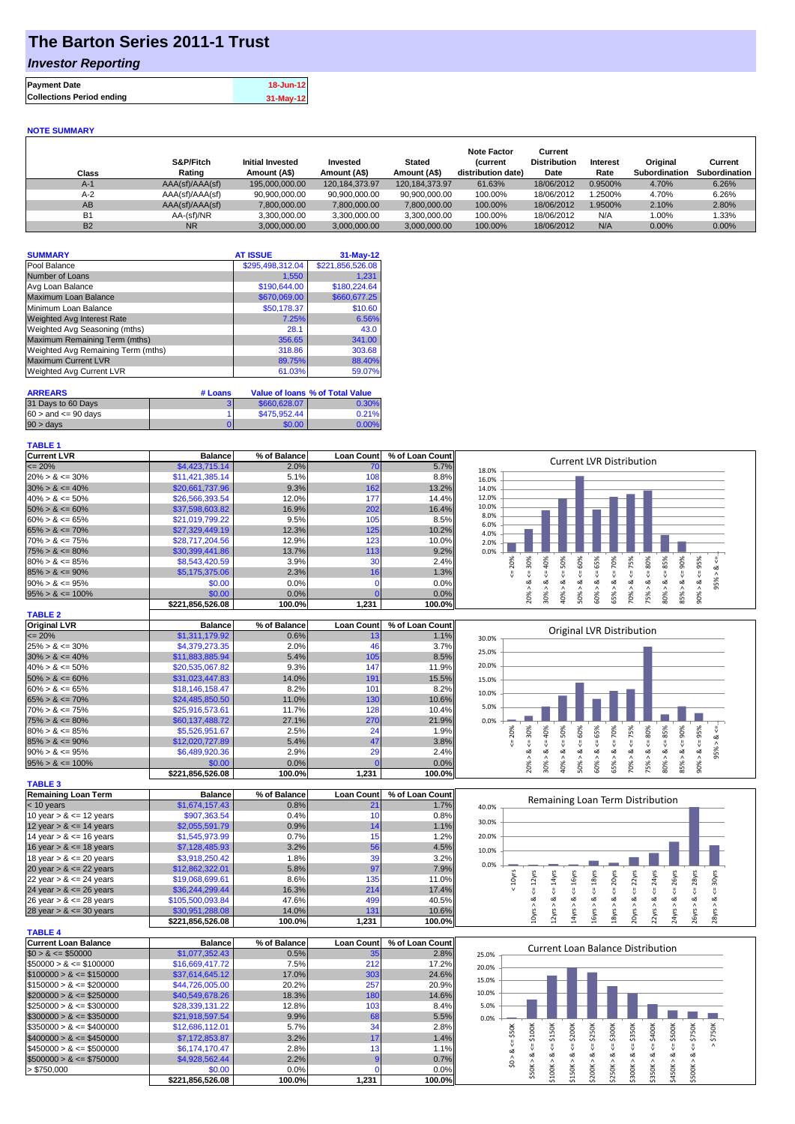## **The Barton Series 2011-1 Trust**

### *Investor Reporting*

| <b>Payment Date</b>              | 18-Jun-12 |
|----------------------------------|-----------|
| <b>Collections Period ending</b> | 31-May-12 |

#### **NOTE SUMMARY**

| Class     | S&P/Fitch<br>Rating | <b>Initial Invested</b><br>Amount (A\$) | Invested<br>Amount (A\$) | <b>Stated</b><br>Amount (A\$) | <b>Note Factor</b><br><b>Current</b><br>distribution date) | Current<br><b>Distribution</b><br>Date | Interest<br>Rate | Original<br>Subordination | Current<br>Subordination |
|-----------|---------------------|-----------------------------------------|--------------------------|-------------------------------|------------------------------------------------------------|----------------------------------------|------------------|---------------------------|--------------------------|
| $A-1$     | AAA(sf)/AAA(sf)     | 195,000,000.00                          | 120.184.373.97           | 120.184.373.97                | 61.63%                                                     | 18/06/2012                             | 0.9500%          | 4.70%                     | 6.26%                    |
| $A-2$     | AAA(sf)/AAA(sf)     | 90.900.000.00                           | 90.900.000.00            | 90.900.000.00                 | 100.00%                                                    | 18/06/2012                             | 1.2500%          | 4.70%                     | 6.26%                    |
| AB        | AAA(sf)/AAA(sf)     | 7,800,000.00                            | 7,800,000.00             | 7,800,000.00                  | 100.00%                                                    | 18/06/2012                             | 1.9500%          | 2.10%                     | 2.80%                    |
| <b>B1</b> | AA-(sf)/NR          | 3,300,000.00                            | 3.300.000.00             | 3.300.000.00                  | 100.00%                                                    | 18/06/2012                             | N/A              | $0.00\%$                  | $1.33\%$                 |
| <b>B2</b> | <b>NR</b>           | 3.000.000.00                            | 3.000.000.00             | 3.000.000.00                  | 100.00%                                                    | 18/06/2012                             | N/A              | $0.00\%$                  | $0.00\%$                 |

| <b>SUMMARY</b>                     | <b>AT ISSUE</b>  | $31-May-12$      |
|------------------------------------|------------------|------------------|
| Pool Balance                       | \$295,498,312.04 | \$221,856,526.08 |
| Number of Loans                    | 1,550            | 1.231            |
| Avg Loan Balance                   | \$190,644.00     | \$180,224.64     |
| Maximum Loan Balance               | \$670,069.00     | \$660,677.25     |
| Minimum Loan Balance               | \$50,178.37      | \$10.60          |
| Weighted Avg Interest Rate         | 7.25%            | 6.56%            |
| Weighted Avg Seasoning (mths)      | 28.1             | 43.0             |
| Maximum Remaining Term (mths)      | 356.65           | 341.00           |
| Weighted Avg Remaining Term (mths) | 318.86           | 303.68           |
| <b>Maximum Current LVR</b>         | 89.75%           | 88.40%           |
| <b>Weighted Avg Current LVR</b>    | 61.03%           | 59.07%           |

| <b>ARREARS</b>            | # Loans |              | Value of Ioans % of Total Value |
|---------------------------|---------|--------------|---------------------------------|
| 31 Days to 60 Days        |         | \$660,628,07 | 0.30%                           |
| $60 >$ and $\leq 90$ davs |         | \$475,952.44 | 0.21%                           |
| $90 > \text{days}$        |         | \$0.00       | 0.00%                           |

#### **TABLE 1**

| <b>Current LVR</b>   | <b>Balance</b>   | % of Balance | <b>Loan Count</b> | % of Loan Count | <b>Current LVR Distribution</b>                                                   |
|----------------------|------------------|--------------|-------------------|-----------------|-----------------------------------------------------------------------------------|
| $\leq$ 20%           | \$4,423,715.14   | 2.0%         | 70                | 5.7%            | 18.0%                                                                             |
| $20\% > 8 \le 30\%$  | \$11,421,385.14  | 5.1%         | 108               | 8.8%            | 16.0%                                                                             |
| $30\% > 8 \le 40\%$  | \$20,661,737.96  | 9.3%         | 162               | 13.2%           | 14.0%                                                                             |
| $40\% > 8 \le 50\%$  | \$26,566,393.54  | 12.0%        | 177               | 14.4%           | 12.0%                                                                             |
| $50\% > 8 \le 60\%$  | \$37,598,603.82  | 16.9%        | 202               | 16.4%           | 10.0%                                                                             |
| $60\% > 8 \le 65\%$  | \$21,019,799.22  | 9.5%         | 105               | 8.5%            | 8.0%<br>6.0%                                                                      |
| $65\% > 8 \le 70\%$  | \$27,329,449.19  | 12.3%        | 125               | 10.2%           | 4.0%                                                                              |
| $70\% > 8 \le 75\%$  | \$28,717,204.56  | 12.9%        | 123               | $10.0\%$        | 2.0%                                                                              |
| $75\% > 8 \le 80\%$  | \$30,399,441.86  | 13.7%        | 113               | 9.2%            | 0.0%                                                                              |
| $80\% > 8 \le 85\%$  | \$8,543,420.59   | 3.9%         | 30                | 2.4%            | 20%<br>90%<br>50%<br>70%<br>30%<br>*0%<br>55%<br>℅<br>50%<br>Ü.<br>ဝ္တ<br>Ř,<br>ന |
| $85\% > 8 \le 90\%$  | \$5,175,375.06   | 2.3%         | 16 <sub>1</sub>   | 1.3%            |                                                                                   |
| $90\% > 8 \le 95\%$  | \$0.00           | 0.0%         |                   | 0.0%            | ∝<br>oΖ<br>∝<br>œ<br>∝<br>$\sigma$                                                |
| $95\% > 8 \le 100\%$ | \$0.00           | $0.0\%$      |                   | 0.0%            | 85%<br>50%<br>20%<br>30%<br>60%<br>65%<br>ఠ<br>္ဘ<br>ఠ<br>కి<br>కి                |
|                      | \$221,856,526.08 | 100.0%       | 1,231             | 100.0%          | $\overline{ }$<br>ōō<br>$\sigma$                                                  |
| <b>TABLE 2</b>       |                  |              |                   |                 |                                                                                   |

| <b>Original LVR</b>  | <b>Balance</b>   | % of Balance | <b>Loan Count</b> | % of Loan Count |       |           |           |   |    |     |     | Original LVR Distribution |    |         |   |    |
|----------------------|------------------|--------------|-------------------|-----------------|-------|-----------|-----------|---|----|-----|-----|---------------------------|----|---------|---|----|
| $\leq$ 20%           | \$1,311,179.92   | 0.6%         | 13.               | 1.1%            | 30.0% |           |           |   |    |     |     |                           |    |         |   |    |
| $25\% > 8 \le 30\%$  | \$4,379,273,35   | 2.0%         | 46                | 3.7%            | 25.0% |           |           |   |    |     |     |                           |    |         |   |    |
| $30\% > 8 \le 40\%$  | \$11,883,885,94  | 5.4%         | 105               | 8.5%            |       |           |           |   |    |     |     |                           |    |         |   |    |
| $40\% > 8 \le 50\%$  | \$20,535,067.82  | 9.3%         | 147               | 11.9%           | 20.0% |           |           |   |    |     |     |                           |    |         |   |    |
| $50\% > 8 \le 60\%$  | \$31,023,447,83  | 14.0%        | 191               | 15.5%           | 15.0% |           |           |   |    |     |     |                           |    |         |   |    |
| $60\% > 8 \le 65\%$  | \$18,146,158,47  | 8.2%         | 101               | 8.2%            | 10.0% |           |           |   |    |     |     |                           |    |         |   |    |
| $65\% > 8 \le 70\%$  | \$24,485,850,50  | 11.0%        | 130               | 10.6%           |       |           |           |   |    |     |     |                           |    |         |   |    |
| $70\% > 8 \le 75\%$  | \$25,916,573.61  | 11.7%        | 128               | 10.4%           | 5.0%  |           |           |   |    |     |     |                           |    |         |   |    |
| $75\% > 8 \le 80\%$  | \$60,137,488,72  | 27.1%        | 270               | 21.9%           | 0.0%  |           |           |   |    |     |     |                           |    |         |   |    |
| $80\% > 8 \le 85\%$  | \$5,526,951.67   | 2.5%         | 24                | 1.9%            |       | 20        | Ò         | Ò | ŝ  | Ĥ,  | 70% | Ŕ                         | 8  | ℅<br>Ř  | % |    |
| $85\% > 8 \le 90\%$  | \$12,020,727.89  | 5.4%         | 47                | 3.8%            |       |           |           |   |    |     |     |                           |    |         |   |    |
| $90\% > 8 \le 95\%$  | \$6,489,920.36   | 2.9%         | 29                | 2.4%            |       | ∝         | ಷ         |   |    |     | ∝   | ∞                         | ∞  | ∞<br>∞  |   | ĝ5 |
| $95\% > 8 \le 100\%$ | \$0.00           | 0.0%         |                   | 0.0%            |       | 0         | ∘         | ⋗ |    | Ê   | 65% | ఠ                         | 5% |         | ∘ |    |
|                      | \$221.856.526.08 | 100.0%       | 1.231             | 100.0%          |       | $\bar{N}$ | $\bar{c}$ |   | ı7 | ιō. |     |                           |    | £6<br>ഩ | ക |    |

| <b>TABLE 3</b>             |                  |              |                    |                 |
|----------------------------|------------------|--------------|--------------------|-----------------|
| Remaining Loan Term        | <b>Balance</b>   | % of Balance | <b>Loan Countl</b> | % of Loan Count |
| $<$ 10 years               | \$1,674,157.43   | 0.8%         | 21                 | 1.7%            |
| 10 year $> 8 \le 12$ years | \$907,363.54     | 0.4%         | 10                 | 0.8%            |
| 12 year $> 8 \le 14$ years | \$2,055,591.79   | 0.9%         | 14                 | 1.1%            |
| 14 year $> 8 \le 16$ years | \$1,545,973.99   | 0.7%         | 15                 | 1.2%            |
| 16 year $> 8 \le 18$ years | \$7,128,485.93   | 3.2%         | 56                 | 4.5%            |
| 18 year $> 8 \le 20$ years | \$3,918,250.42   | 1.8%         | 39                 | 3.2%            |
| 20 year $> 8 \le 22$ years | \$12,862,322.01  | 5.8%         | 97                 | 7.9%            |
| 22 year $> 8 \le 24$ years | \$19,068,699.61  | 8.6%         | 135                | 11.0%           |
| 24 year $> 8 \le 26$ years | \$36,244,299.44  | 16.3%        | 214                | 17.4%           |
| 26 year $> 8 \le 28$ years | \$105,500,093.84 | 47.6%        | 499                | 40.5%           |
| 28 year $> 8 \le 30$ years | \$30.951.288.08  | 14.0%        | 131                | 10.6%           |